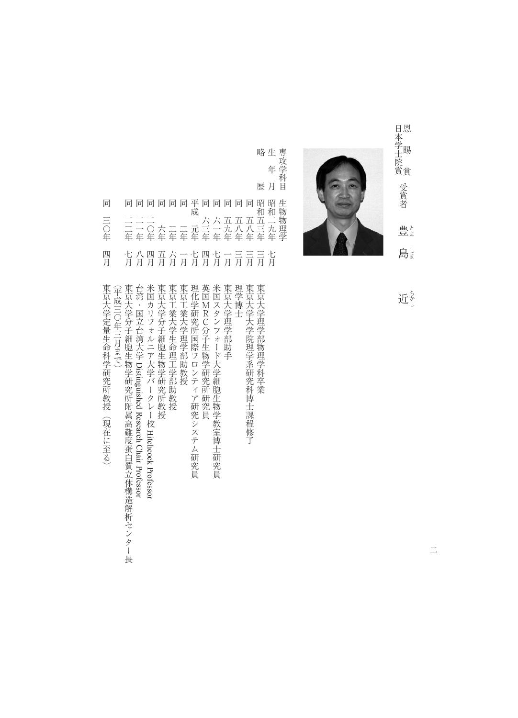

略<br>生<br>年<br>月<br>歴<br>夏<br>夏<br>月

- 生年月昭和二九年七月 専攻学科目生物物理学 同同同同同平同同同同阳昭<br>二二二 元成 六六五五五五二<br>二二〇六二二元三一九八三九<br>三一〇六二二元三一九八三九 同 生物物理学 同二二年七月 三〇年
- 七八四五六一七四<br>月月月月月月月 七月 一言 三月 四月 三月 七月

略歴昭和五三年三月東京大学理学部物理学科卒業 『同三つの学生には、「日本の学生」の「日本の学生」の「日本の学生」の「日本の学生」の「日本の学生」の「日本の学生」の「日本の学生」の「日本の学生」の「日本の学生」の「日本の学生」の「日本の学生」の「日 一年八月台湾・国立台湾大学、国立台湾大学、国立台湾大学、国立台湾大学、国立台湾大学、国立台湾大学、国立台湾大学、国立台湾大学、国立台湾大学、国立台湾大学、国立台湾大学、国 同二〇年四月米国カリフォルニア大学バークレー校『日本大学の学生』 『日本大学の学生』 『日本大学』 『日本大学』 『日本大学』 『日本大学』 『日本大学』 『日本大学』 『日本大学』 『日本大学』 『日本大学』 『日本大学』 『日本大学』 『日本大学』 『日本大学』 『日本大学』 『日本大学』 『日本大学』 『日本大学』 『日本大学』 『日本大学』 『日本大学』 『日本大学』 『日本大学』 『日本大学』 『日本大学』 『日本大学』 『日本大学』 『日本大学』 『日本大学』 『日本大 同二年六月東京工業大学生命理工学部助教授 同二年一月東京工業大学理学部助教授 平成元年七月理化学研究所国際プロンティア研究局 (1988年11月11日) - 中国語学研究局 同六三年四月英国MRC分子生物学研究所研究員 日本大学 一年七月米国大学 一年七月米国大学 一年七月米国大学 一年七月米国大学 一年七月米国大学 一年七月米国大学 同五十年 一月 長宗大学理学部 助手 一月 長宗大学 一月 長宗大学 一月 長宗大学 一月 長宗大学 同五八年三月理学博士 同五十年三月東京大学大学院理学系研究科博士课程修订,1989年(1889年) 1989年(1889年) 1989年(1888年) 1989年(1888年) 1989年(1888年) 1989年(1888年) 1989年( 東京大学分子細胞生物学研究所附属高難度蛋白質立体構造解析センター 米国カリフォルニア大学バークレー校 Hitchcock Professor 東京大学分子細胞生物学研究所教授 東京工業大学生命理工学部助教授 東京工業大学理学部助教授 理化学研究所国際フロンティア研究システム研究員 英国MRC分子生物学研究所研究員 米国スタンフォード大学細胞生物学教室博士研究員 東京大学理学部助手 理学博士 東京大学大学院理学系研究科博士課程修了 東京大学理学部物理学科卒業 東京大学定量生命科学研究所教授 台湾・国立台湾大学 Distinguished Research Chair Professor (平成三〇年三月まで) (平成三つ) (中国語) (中国語) (中国語) (中国語) (中国語) (中国語) (中国語) (中国語) (中国語) (中国語) (中国語) (中国語) (中国語) (中国語) (中国語) (中国語) (中国語) (中国語) (中国語) (中国語) (中国語) (中国語) (中国語) (中国語) (中国語) (中国語) (中国語) (中国語) (中国語) (中国語) (中国語) (中国語) (中国語) (中国語) (中国語) (中国語 エネルギー スター・エネル はんしゅう アイディング アイディング アイディング アイディング アイディング アイディング アイディング アイディング アイディング アイディング Distinguished Research Chair Professor (現在に至る) Hitchcock Professor

長

近な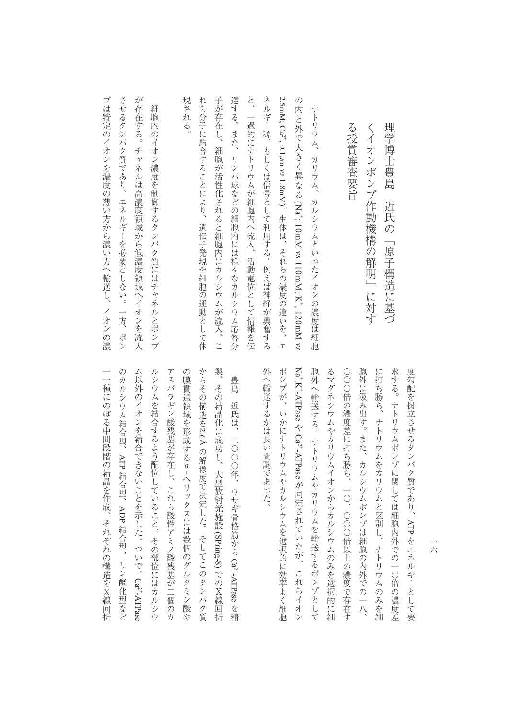| 現される。<br>細胞内のイオン濃度を制御するタンパク質にはチャネルとポンプ                                                                                                                                  |
|-------------------------------------------------------------------------------------------------------------------------------------------------------------------------|
| させるタンパク質であり、エネルギーを必要としない。<br>が存在する。チャネルは高濃度領域から低濃度領域へイオンを流入<br>一方、ポン                                                                                                    |
|                                                                                                                                                                         |
|                                                                                                                                                                         |
| れら分子に結合することにより、<br>子が存在し、細胞が活性化されると細胞内にカルシウムが流入、こ<br>遺伝子発現や細胞の運動として体                                                                                                    |
| 一過的にナトリウムが細胞内へ流入、活動電位として情報を伝                                                                                                                                            |
| 達する。また、リンパ球などの細胞内には様々なカルシウム応答分<br>と、<br>ネルギー源、もしくは信号として利用する。例えば神経が興奮する<br>2.5mM; Ca^", 0.1μm vs 1.8mM)。生体は、それらの濃度の違いを、エ<br>の内と外で大きく異なる(Na'; 10mM vs 110mM; K', 120mM vs |
| ナトリウム、カリウム、カルシウムといったイオンの濃度は細胞                                                                                                                                           |
| る<br>授賞審査要旨                                                                                                                                                             |

外へ輸送するかは長い間謎であった。 求する。ナトリウムポンプに関しては細胞内外での一○倍の濃度差 度勾配を樹立させるタンパク質であり、ATP をエネルギーとして要 ポンプが、いかにナトリウムやカルシウムを選択的に効率よく細胞 Na 胞外へ輸送する。ナトリウムやカリウムを輸送するポンプとして るマグネシウムやカリウムイオンからカルシウムのみを選択的に細 ○○○倍の濃度差に打ち勝ち、一○、○○○倍以上の濃度で存在す 胞外に汲み出す。また、カルシウムポンプは細胞の内外での一八、 に打ち勝ち、ナトリウムをカリウムと区別し、ナトリウムのみを細 人には、それは大人には、それは大人には、それは大人には、それは大人には、それは大人には、それは大人には、それは大人には、それは大人には、それは大人には、それは大人には、それは大人には、それは大人には、 ポンプが、いかにナトリウムやカルシウムを選択的に効率よく細胞 胞外へ輸送する。ナトリウムやカリウムを輸送するポンプとして つつは、カルシウムイオンからカルシウムイオンからオンからオンからオンからアクセスを選択している。 〇〇倍の濃度差に打ち続きに打ち続きない。 このこの 深く打ち かんしゅう かんしゅう かんしゅう かんしゅう かんしゅう かんしゅう かんしゅう かんしゅう かんしゅう かんしゅう かんしゅう 胞外に汲み出す。また、カルシウムポンプは細胞の内外での一八、 に打ち歩ち、ナトリウムとストリウムとストリウムを用いている。 大トリウムポンプに関しては、サトリウムポンプに関しては、サトリウムポンプに関しては細胞の濃度差別である。 では、 こうしゃ こうしゃ こうしゃ こうしゃ  $,K-ATP$ ase  $Ca^{2+}ATP$ ase が同定されていたが、これらイオン ともの こうしゃ エネルギー しゅうしゅう しゅうしゅう しゅうしゅう しゅうしゅう しゅうしゅう しゅうしゅう しゅうしゅうしゅう しゅうしゅうしゅうしゅうしゅうしゅうしゅうしゃ

理学博士豊島近氏の「原子構造に基づ

近氏の「原子構造に基づ

理学博士豊島

ム以外のイオンを結合できないことを示した。ついで、Ca?+ATPase ルシウムを結合するよう配位していること、その部位にはカルシウ アスパラギン酸残基が存在し、これら酸性アミノ酸残基が二個のカ の膜貫通領域を形成するα-ヘリックスには数個のグルタミン酸や からその構造を2.6Aの解像度で決定した。そしてこのタンパク質 製、その結晶化に成功し、大型放射光施設 (SPring-8) でのX線回折 一種にのぼる中間段階の結晶を作成、それぞれの構造をX線回折 のカルシウム結合型、ム以外のイオンを結合できないことを示した。ついで、 ルシウムを結合するようにはカルシウムを結合するようにはカルシウムを結合するようにはカルシウムを結合するようにはカルシウムを結合するようにはカルシウムを結合するようにはカルシウムを結合するようにはカルシ アスパラギン酸炭素がある。 アスパラギン酸 こうしゅう こうしゅう こうしゅう こうしゅう こうしゅう こうしゅう こうしゅう こうしゅう こうしゅう こうしゅう こうしゅう こうしゅう の膜貫通領域を形成するαこの様子 しゅうしょう しゅうしゅう しゅうしゅう しゅうしゅう しゅうしゅう しゅうしゅう しゅうしゅう しゅうしゅう しゅうしゅうしゅう しゅうしゅうしゅう しゅうしゅうしゅうしゅうしゅうしゃ たいしゃ しゅうしゅう しゅうしゅう しゅうしゅう あいしゅう あいしゅう しゅうしゅう 豊島 近氏は、二〇〇〇年、ウサギ骨格筋から Ca?"-ATPaseを精 さんじょう しゅうしゅう しゅうしゅう しゅうしゅう しゅうしゅう しゅうしゅう しゅうしゅう しゅうしゅう しゅうしゅう しゅうしゅう しゅうしゅう しゅうしゅう しゅうしゅう しゅうしゅう しゅうしゅう ATP の解像度で決定した。そしてこのタンパク質を決定した。そしてこのタンパク質を決定した。 - キャンプ こうこう ヘリックスには数値のグルタミン酸や しょうかい しょうかい しょうかん しょうかん しゅうしょう しょうかい しょうかい しょうかい しょうかい しょうかい しゅうしょう しょうかい しゅうしょう しゅうしょう ADP - コンピュータ リン酸化型 アイス・コンピュータ リン酸化型など  $\rm Ca^{2+}$ -ATPase でのX線回折  $\rm Ca^{2+}$ -ATPase

一種には、それぞれの結晶を作成している中間段階の結晶を作成している中間段階の結晶を作成している。 こうしゃ こうしょう

一六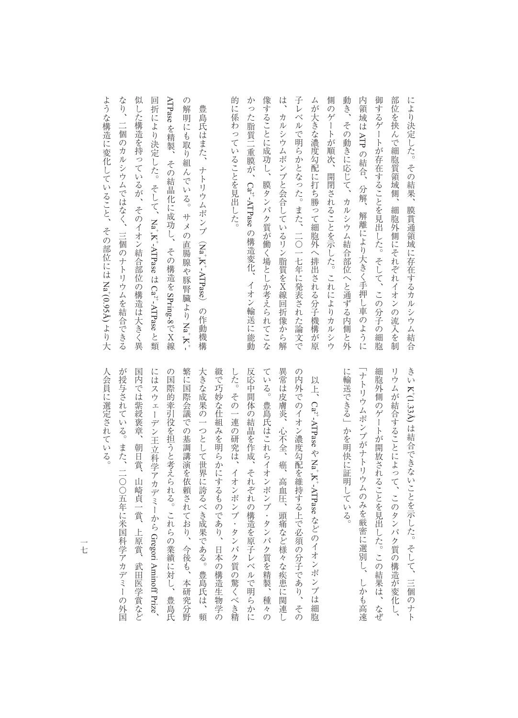像することに成功し、膜タンパク質が働く場としか考えられてこな は 子レベルで明らかとなった。また、二〇一七年に発表された論文で 御するゲートが存在することを見出した。そして、この分子の細胞 的に係わっていることを見出した。 かった脂質二重膜が、Ca<sub>2</sub>+ATPaseの構造変化、 ムが大きな濃度勾配に打ち勝って細胞外へ排出される分子機構が原 側のゲートが順次、開閉されることを示した。これによりカルシウ 動き、その動きに応じて、カルシウム結合部位へと通ずる内側と外 内領域は ATP の結合、 部位を挟んで細胞質領域側、 により決定した。その結果、 的に係わっていることを見出した。 かった いちこう こうしょう こうしょう しゅうしょう しゅうしゅう しゅうしょう しゅうしゅう しゅうしゅう しゅうしゅう しゅうしゅう しゅうしゅう しゅうしゅう しゅうしゅう しゅうしゅう しゅうしゅう 。<br>そのことには、場タンパク質が働く場としていることには、場タンパク質が働く場合は、場タンパク質が働く場合は、場タンパク質が働く場合は、場タンパク質が働く場合は、場タンパク質が働く場合は、場タンパク質が働く。 は、カルシウムポンプと会合しているリン脂質をX線回折像から解 子レベルでは、このように、二〇一七年に発表された。また、二〇一七年に発表された論文では、二〇一七年に発表された論文では、二〇一七年に発表された論文では、二〇一七年に発表された論文では、二〇一七年に発表 ムが大きな こうしゅう こうしゅう こうしゅう こうしゅう こうしゅう こうしゅう こうしゅう こうしゅう こうしゅう こうしゅう こうしゅう こうしゅう こうしゅう りのゲートが開発していることを示した。これにはおりからのゲートが開発していることを示した。これにはおりからのゲートが開発していることを示した。これにはおりからのグラフトが開発していることを示した。これに 動き、その動きに応じて、カルシウム結合部位へと通ずる内側と外 内領域は 御するゲートが存在することを見出した。そして、この分子の細胞 部位を持ち、 事件の流入を制限している。 この流入を制限している。 この流入を制限している。 この流入を制限している。 この流入を制限している。 この流入を制限している。 この流入を制限している。 この流入を制限している。 には、その結果、場合の結果、場合の結合があります。その結果、場合の結合があります。その結果、場合の結合があります。 カルシウムポンプと会合しているリン脂質をX線回折像から解 の結合 かいしょう かんしゅう あいしゅう あいしゅう あいしゅう かいしゅう かいしゅう かいしゅう かいしゅう かいしゅう かいしゅう かいしゅう かいしゅう かいしゅう 分解、  $\rm Ca^{2+}$ -ATPase 細胞外側にそれぞれイオンの流入を制 膜貫通領域に存在するカルシウム結合 解離により大きく手押し車のように の構造変化、イオン輸送に能動 イオン輸送に能動

なり、 ような構造に変化していること、その部位には Na+(0.95A) より大 似した構造を持っているが、そのイオン結合部位の構造は大きく異 回折により決定した。そして、Na, K<sup>-</sup>-ATPase は Ca<sub>2</sub>-ATPase と類 ATPase を精製、その結晶化に成功し、  $\mathcal{O}$ なり、二個のカルシウムではなく、三個のナトリウムを結合できる たちは、そのイオン結合の体道は大きく異なるが、そのイオン結合部位の構造は大きく異なる。 回折により決定した。そして、解明にも取り組んでいる。 の解明にも取り組んでいる。サメの直腸腺や豚腎臓より豊島氏はまた、 豊島氏はまた、ナトリウムポンプ(二個のカルシウムではなく、 その結晶化に成功し、その結晶化に成功し、その結晶化に成功し、その結晶化に成功し、その結晶化に成功し、その結晶化に成功し、その結晶化に成功し、その結晶化に成功し、その結晶化に成功し、その結晶化に成功し、 ナトリウムポンプ (Na, K-ATPase) サメの直腸腺や豚腎臓よりNa+K+  $Na<sup>+</sup>KTPase$ 「三個のナトリウムを結合できる その構造を SPring-8で X線 Na+,K+-ATPase $\rm Ca^{2+}ATP$ ase の作動機構 )の作動機構  $\ddot{x}$ ときのう かんじょう

ような構造に変化していること、その部位には

より大

人会員に選定されている。

リウムが結合することによって、このタンパク質の構造が変化し、 きい K+(1.33A) は結合できないことを示した。そして、三個のナト に輸送できる」かを明快に証明している。 「ナトリウムポンプがナトリウムのみを厳密に選別し、 細胞外側のゲートが開放されることを見出した。この結果は、なぜ 「ナトリウム、おおも高速に選択しているのは、そのように、そのように、そのように、そのように、そのように、そのように、そのように、そのように、そのように、そのように、そのように、そのように、そのように、 に輸送できる」かを明快に証明している。 細胞外側のゲートが開放されることを見出した。この結果は、なぜ リウムがあることには、このタンパク質の構造ができることによって、このタンパク質の構造が変化し、このタンパク質の構造が変化し、このタンパク質の構造が変化し、このタンパク質の構造が変化し、このタンパク質の はないことを示した。そして、三個のナトリングのサトリングを示した。 しかも高速

が授与されている。また、二〇〇五年に米国科学アカデミーの外国 国内では紫綬褒章、 にはスウェーデン王立科学アカデミーから Gregori Aminoff Prize 繁に国際会議での基調講演を依頼されており、今後も、本研究分野 ている。豊島氏はこれらイオンポンプ・タンパク質を精製、 異常は皮膚炎、心不全、癌、 人会員に選定されている。 の国際的牽引役を担うと考えられる。これらの業績に対し、 大きな成果の一つとして世界に誇るべき成果である。豊島氏は、 緻で巧妙な仕組みを明らかにするものであり、日本の構造生物学の した。その一連の研究は、イオンポンプ・タンパク質の驚くべき精 反応中間体の結晶を作成、それぞれの構造を原子レベルで明らかに の内外でのイオン濃度勾配を維持する上で必須の分子であり、 では、このような、このような、このような、このような、このような、このような、このような、このような、このような、このような、このような、このような、このような、このような、このような、このような、こ 国内では紫綬褒章、朝日賞、山崎貞一賞、上原賞、武田医学賞などにはスウェーデン王立科学アカデミーから、スウェーデン王立科学アカデミーから、スウェーデン王立科学アカデミートの の国際の農場には、これらの業績に対し、これらの業績に対し、これらの業績に対し、これらの業績に対して、これらの業績に対して、これらの業績に対して、これらの業績に対して、これらの業績に対して、これらの業績 最に国際会議での基調講演を依頼されており、それは、本研究分野の基調講演を依頼されており、それは、本研究分野の基調講演を依頼されており、それは、本研究分野の基調講演を依頼されており、それは、本研究分野の 大きな成果の一つとして世界に誇るべき成果である。豊島氏は、頻 なして きょうしゃ こうしゅう しゅうしゅう しゅうしゅう こうしゅう こうしゅう こうしゅう こうしゅう こうしゅう こうしゅう こうしゅう こうしゅう こうしゅう した。その一連の研究は、イオンポンプ・タンパク質の驚くべき精 た。それぞれの結晶を作成している。それぞれが、それぞれの構造を原子レベルで開発している。 ている。それはこれらイオンポンプ・タンパク質を精製、種々の作品を精製、種々の作品を精製、種々の作品を精製、種々の作品を精製、種々の作品を精製、種々の作品を精製、種々の作品を精製、種々の作品を精製、種々 ままには、このような病患に関連して、心不全、痛苦など様々な病患に関連して、心不全、痛苦などの病患に関連して、心不全、痛苦などの病患に関連して、心不全、痛苦などの病患に関連して、心不全、痛苦などの病患に つちのイオン 高く しゅうしゅう こうしゅう こうしゅう こうしゅう こうしゅう こうしゅう こうしゅう こうしゅう こうしゅう こうしゅう こうしゅう こうしゅう 以上、Ca2+ATPaseやNa+K+ATPaseなどのイオンポンプは細胞 以上、 $\rm Ca^{2^{+}}$ -ATPase 朝日賞、  $Na^*$ , K<sup>+</sup>-ATPase 高血圧、 山崎貞一 賞、 頭痛など様々な疾患に関連し などのイオンポンプは細胞 上原賞、 Gregori Aminoff Prize武田医学賞など 豊島氏 種々の その 媚

一七 ールー きんじょう しゅうしゅう しゅうしゅう しゅうしゅう しゅうしゅう しゅうしゅう しゅうしゅう しゅうしゅう しゅうしゅう しゅうしゅうしゅう しゅうしゅうしゅう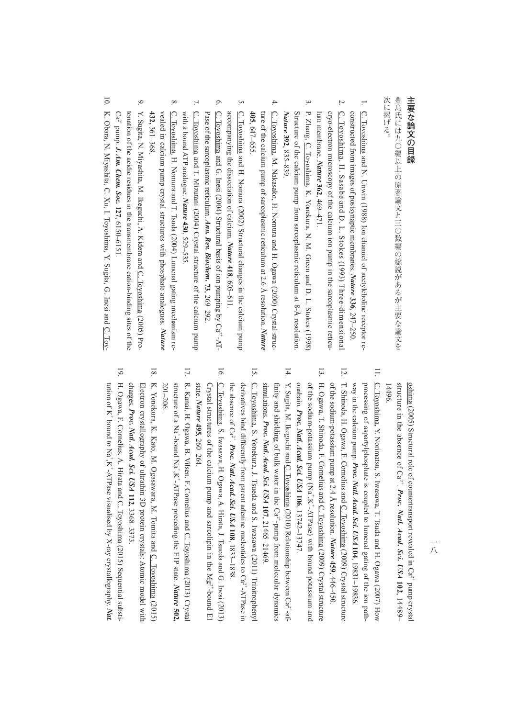## 主要な論文の目録 **主要な論文の目録**

次に掲げる。 豊島氏には九〇編以上の原著論文と三〇数編の総説があるが主要な論文を 次に掲げる。 きょうしゃ しゅうしょう こうしゅう こうしゅう こうしゅう こうしゅう こうしゅう こうしゅう こうしゅう こうしゅう こうしゅう こうしゅう こうしゅう こうしゅう こうしゅう

- $\overline{\phantom{0}}$ . C. Toyoshima and N. Unwin (1988) Ion channel of acetylcholine receptor re-C. Toyoshima and N. Unwin (1988) Ion channel of acetylcholine receptor reconstructed from images of postsynaptic membranes. *Nature* **336**, 247–250.
- $\overline{a}$ 2. C. Toyoshima, H. Sasabe and D. L. Stokes (1993) Three-dimensional <u>C. Toyoshima</u>, H. Sasabe and D. L. Stokes (1993) Three-dimensional cryo-electron microscopy of the calcium ion pump in the sarcoplasmic reticulum membrane. *Nature* cryo-electron microscopy of the calcium ion pump in the sarcoplasmic reticu-**362**, 469–471.
- $\ddot{\cdot}$ 3. P. Zhang, C. Toyoshima, K. Yonekura, N. M. Green and D. L. Stokes (1998) Structure of the calcium pump from sarcoplasmic reticulum at 8-Å resolution P. Zhang, C. Toyoshima, K. Yonekura, N. M. Green and D. L. Stokes (1998) *Nature* Structure of the calcium pump from sarcoplasmic reticulum at 8-Å resolution. **392**, 835–839.
- $\overline{4}$ 4. C. Toyoshima, M. Nakasako, H. Nomura and H. Ogawa (2000) Crystal struc-C. Toyoshima, M. Nakasako, H. Nomura and H. Ogawa (2000) Crystal structure of the calcium pump of sarcoplasmic reticulum at 2.6 A resolution. Nature ture of the calcium pump of sarcoplasmic reticulum at 2.6 Å resolution. *Nature*  **405**, 647–655.
- $\tilde{\mathcal{L}}$ 5. <u>C. Toyoshima</u> and H. Nomura (2002) Structural changes in the calcium pump C. Toyoshima and H. Nomura (2002) Structural changes in the calcium pump accompanying the dissociation of calcium. *Nature* **418**, 605–611.
- $\circ$ 6. C. Toyoshima and G. Inesi (2004) Structural basis of ion pumping by  $Ca^{2+}AT$ -C. Toyoshima and G. Inesi (2004) Structural basis of ion pumping by Ca<sup>2</sup>-AT-Pase of the sarcoplasmic reticulum. *Ann. Rev. Biochem.* **73**, 269–292.
- $\overline{L}$ 7.  $\overline{C}$ . Toyoshima and T. Mizutani (2004) Crystal structure of the calcium pump C. Toyoshima and T. Mizutani (2004) Crystal structure of the calcium pump with a bound ATP analogue. *Nature* **430**, 529–535.
- $\infty$ 8. C. Toyoshima, H. Nomura and T. Tsuda (2004) Lumenal gating mechanism re-C. Toyoshima, H. Nomura and T. Tsuda (2004) Lumenal gating mechanism revealed in calcium pump crystal structures with phosphate analogues. Nature vealed in calcium pump crystal structures with phosphate analogues. **432,** 361–368.
- $\mathfrak{S}$ 9. Y. Sugita, N. Miyashita, M. Ikeguchi, A. Kidera and C. Toyoshima (2005) Pro-Y. Sugita, N. Miyashita, M. Ikeguchi, A. Kidera and C. Toyoshima (2005) Pro-Ca<sup>2+</sup> pump. **J. Am. Chem. Soc. 127**, 6150-6151. tonation of the acidic residues in the transmembrane cation-binding sites of the conation of the acidic residues in the transmembrane cation-binding sites of the  $Ca^+$  pump. *J. Am. Chem. Soc.* **127**, 6150–6151.
- $\overline{0}$ 10. K. Obara, N. Miyashita, C. Xu, I. Toyoshima, Y. Sugita, G. Inesi and C. Toy-K. Obara, N. Miyashita, C. Xu, I. Toyoshima, Y. Sugita, G. Inesi and C. Toy-

- solinina (2016) Sinckutan Or G:<sup>2</sup>. *Proc. Natt Actad* Sci. 11) 4489.<br>
Solinina (2016) Sinckutan Or G:<sup>2</sup>. *Proc. Natt Actad* Sci. 173 at and H. Ogensina (2016) Sinckutan in the absence of C:<sub>2</sub><sup>2</sup>. *Proc. Natt Actad* Sci
	-
	-
	-
	-
	-
	-
	-
-